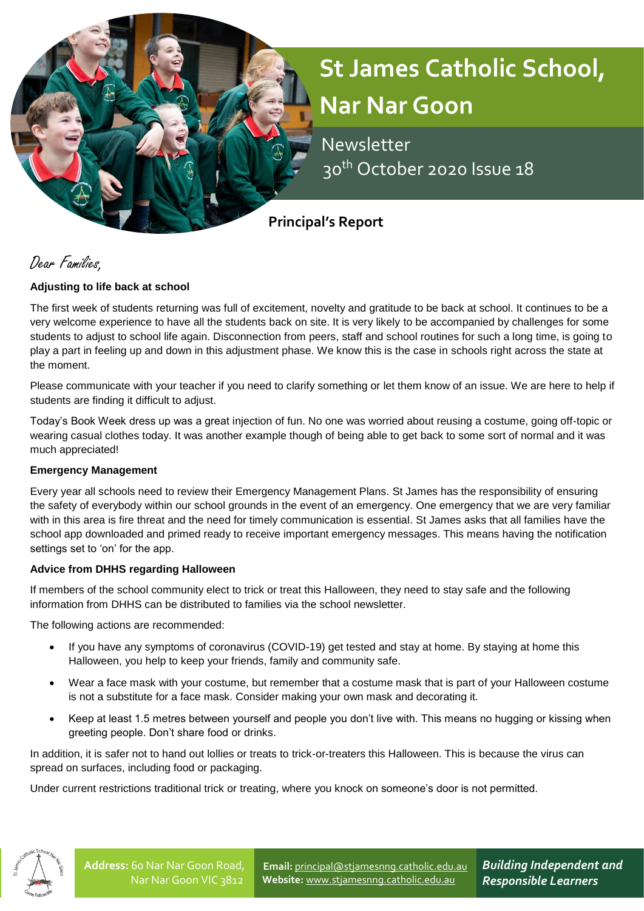# **St James Catholic School, Nar Nar Goon**

 Newsletter 30th October 2020 Issue 18

**Principal's Report**

Dear Families,

# **Adjusting to life back at school**

The first week of students returning was full of excitement, novelty and gratitude to be back at school. It continues to be a very welcome experience to have all the students back on site. It is very likely to be accompanied by challenges for some students to adjust to school life again. Disconnection from peers, staff and school routines for such a long time, is going to play a part in feeling up and down in this adjustment phase. We know this is the case in schools right across the state at the moment.

Please communicate with your teacher if you need to clarify something or let them know of an issue. We are here to help if students are finding it difficult to adjust.

Today's Book Week dress up was a great injection of fun. No one was worried about reusing a costume, going off-topic or wearing casual clothes today. It was another example though of being able to get back to some sort of normal and it was much appreciated!

### **Emergency Management**

Every year all schools need to review their Emergency Management Plans. St James has the responsibility of ensuring the safety of everybody within our school grounds in the event of an emergency. One emergency that we are very familiar with in this area is fire threat and the need for timely communication is essential. St James asks that all families have the school app downloaded and primed ready to receive important emergency messages. This means having the notification settings set to 'on' for the app.

### **Advice from DHHS regarding Halloween**

If members of the school community elect to trick or treat this Halloween, they need to stay safe and the following information from DHHS can be distributed to families via the school newsletter.

The following actions are recommended:

- If you have any symptoms of coronavirus (COVID-19) get tested and stay at home. By staying at home this Halloween, you help to keep your friends, family and community safe.
- Wear a face mask with your costume, but remember that a costume mask that is part of your Halloween costume is not a substitute for a face mask. Consider making your own mask and decorating it.
- Keep at least 1.5 metres between yourself and people you don't live with. This means no hugging or kissing when greeting people. Don't share food or drinks.

In addition, it is safer not to hand out lollies or treats to trick-or-treaters this Halloween. This is because the virus can spread on surfaces, including food or packaging.

Under current restrictions traditional trick or treating, where you knock on someone's door is not permitted.



**Email:** [principal@stjamesnng.catholic.edu.au](mailto:principal@stjamesnng.catholic.edu.au) **Website:** [www.stjamesnng.catholic.edu.au](http://www.stjamesnng.catholic.edu.au/)

*Building Independent and Responsible Learners*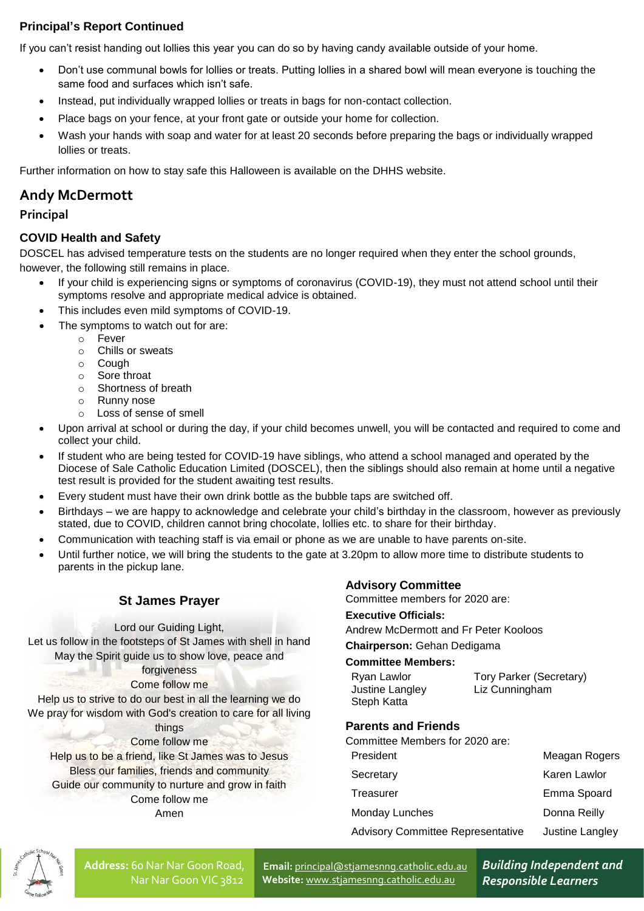# **Principal's Report Continued**

If you can't resist handing out lollies this year you can do so by having candy available outside of your home.

- Don't use communal bowls for lollies or treats. Putting lollies in a shared bowl will mean everyone is touching the same food and surfaces which isn't safe.
- Instead, put individually wrapped lollies or treats in bags for non-contact collection.
- Place bags on your fence, at your front gate or outside your home for collection.
- Wash your hands with soap and water for at least 20 seconds before preparing the bags or individually wrapped lollies or treats.

Further information on how to stay safe this Halloween is available on the DHHS website.

# **Andy McDermott**

# **Principal**

# **COVID Health and Safety**

DOSCEL has advised temperature tests on the students are no longer required when they enter the school grounds, however, the following still remains in place.

- If your child is experiencing signs or symptoms of coronavirus (COVID-19), they must not attend school until their symptoms resolve and appropriate medical advice is obtained.
- This includes even mild symptoms of COVID-19.
- The symptoms to watch out for are:
	- o Fever
	- o Chills or sweats
	- o Cough
	- o Sore throat
	- o Shortness of breath
	- o Runny nose
	- o Loss of sense of smell
- Upon arrival at school or during the day, if your child becomes unwell, you will be contacted and required to come and collect your child.
- If student who are being tested for COVID-19 have siblings, who attend a school managed and operated by the Diocese of Sale Catholic Education Limited (DOSCEL), then the siblings should also remain at home until a negative test result is provided for the student awaiting test results.
- Every student must have their own drink bottle as the bubble taps are switched off.
- Birthdays we are happy to acknowledge and celebrate your child's birthday in the classroom, however as previously stated, due to COVID, children cannot bring chocolate, lollies etc. to share for their birthday.
- Communication with teaching staff is via email or phone as we are unable to have parents on-site.
- Until further notice, we will bring the students to the gate at 3.20pm to allow more time to distribute students to parents in the pickup lane.

# **St James Prayer**

Lord our Guiding Light,

Let us follow in the footsteps of St James with shell in hand May the Spirit guide us to show love, peace and forgiveness Come follow me Help us to strive to do our best in all the learning we do

We pray for wisdom with God's creation to care for all living things

- Come follow me
- Help us to be a friend, like St James was to Jesus

Bless our families, friends and community

Guide our community to nurture and grow in faith

Come follow me

#### Amen

# **Advisory Committee**

Committee members for 2020 are:

### **Executive Officials:**

Andrew McDermott and Fr Peter Kooloos

#### **Chairperson:** Gehan Dedigama

#### **Committee Members:**

| Ryan Lawlor     | Tory Parker (Secretary) |
|-----------------|-------------------------|
| Justine Langley | Liz Cunningham          |
| Steph Katta     |                         |

# **Parents and Friends**

Committee Members for 2020 are:

| President                                | Meagan Rogers   |
|------------------------------------------|-----------------|
| Secretary                                | Karen Lawlor    |
| Treasurer                                | Emma Spoard     |
| Monday Lunches                           | Donna Reilly    |
| <b>Advisory Committee Representative</b> | Justine Langley |
|                                          |                 |



**Address:** 60 Nar Nar Goon Road, Nar Nar Goon VIC 3812

**Email:** [principal@stjamesnng.catholic.edu.au](mailto:principal@stjamesnng.catholic.edu.au) **Website:** [www.stjamesnng.catholic.edu.au](http://www.stjamesnng.catholic.edu.au/)

*Building Independent and Responsible Learners*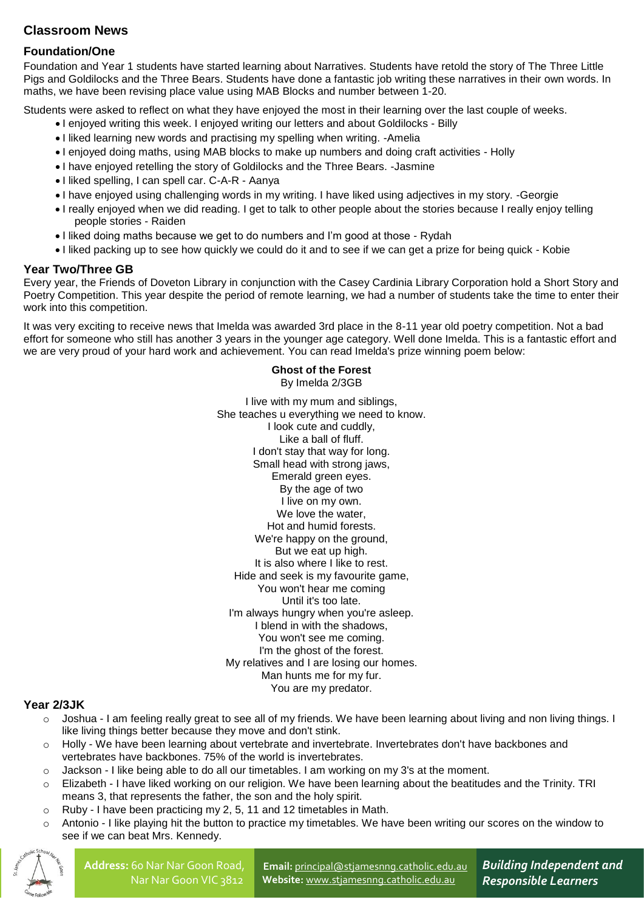# **Classroom News**

# **Foundation/One**

Foundation and Year 1 students have started learning about Narratives. Students have retold the story of The Three Little Pigs and Goldilocks and the Three Bears. Students have done a fantastic job writing these narratives in their own words. In maths, we have been revising place value using MAB Blocks and number between 1-20.

Students were asked to reflect on what they have enjoyed the most in their learning over the last couple of weeks.

- I enjoyed writing this week. I enjoyed writing our letters and about Goldilocks Billy
- I liked learning new words and practising my spelling when writing. Amelia
- I enjoyed doing maths, using MAB blocks to make up numbers and doing craft activities Holly
- I have enjoyed retelling the story of Goldilocks and the Three Bears. -Jasmine
- I liked spelling, I can spell car. C-A-R Aanya
- I have enjoyed using challenging words in my writing. I have liked using adjectives in my story. -Georgie
- I really enjoyed when we did reading. I get to talk to other people about the stories because I really enjoy telling people stories - Raiden
- I liked doing maths because we get to do numbers and I'm good at those Rydah
- I liked packing up to see how quickly we could do it and to see if we can get a prize for being quick Kobie

### **Year Two/Three GB**

Every year, the Friends of Doveton Library in conjunction with the Casey Cardinia Library Corporation hold a Short Story and Poetry Competition. This year despite the period of remote learning, we had a number of students take the time to enter their work into this competition.

It was very exciting to receive news that Imelda was awarded 3rd place in the 8-11 year old poetry competition. Not a bad effort for someone who still has another 3 years in the younger age category. Well done Imelda. This is a fantastic effort and we are very proud of your hard work and achievement. You can read Imelda's prize winning poem below:

#### **Ghost of the Forest** By Imelda 2/3GB

I live with my mum and siblings, She teaches u everything we need to know. I look cute and cuddly, Like a ball of fluff. I don't stay that way for long. Small head with strong jaws, Emerald green eyes. By the age of two I live on my own. We love the water. Hot and humid forests. We're happy on the ground, But we eat up high. It is also where I like to rest. Hide and seek is my favourite game, You won't hear me coming Until it's too late. I'm always hungry when you're asleep. I blend in with the shadows, You won't see me coming. I'm the ghost of the forest. My relatives and I are losing our homes. Man hunts me for my fur. You are my predator.

### **Year 2/3JK**

- o Joshua I am feeling really great to see all of my friends. We have been learning about living and non living things. I like living things better because they move and don't stink.
- o Holly We have been learning about vertebrate and invertebrate. Invertebrates don't have backbones and vertebrates have backbones. 75% of the world is invertebrates.
- o Jackson I like being able to do all our timetables. I am working on my 3's at the moment.
- o Elizabeth I have liked working on our religion. We have been learning about the beatitudes and the Trinity. TRI means 3, that represents the father, the son and the holy spirit.
- o Ruby I have been practicing my 2, 5, 11 and 12 timetables in Math.
- o Antonio I like playing hit the button to practice my timetables. We have been writing our scores on the window to see if we can beat Mrs. Kennedy.